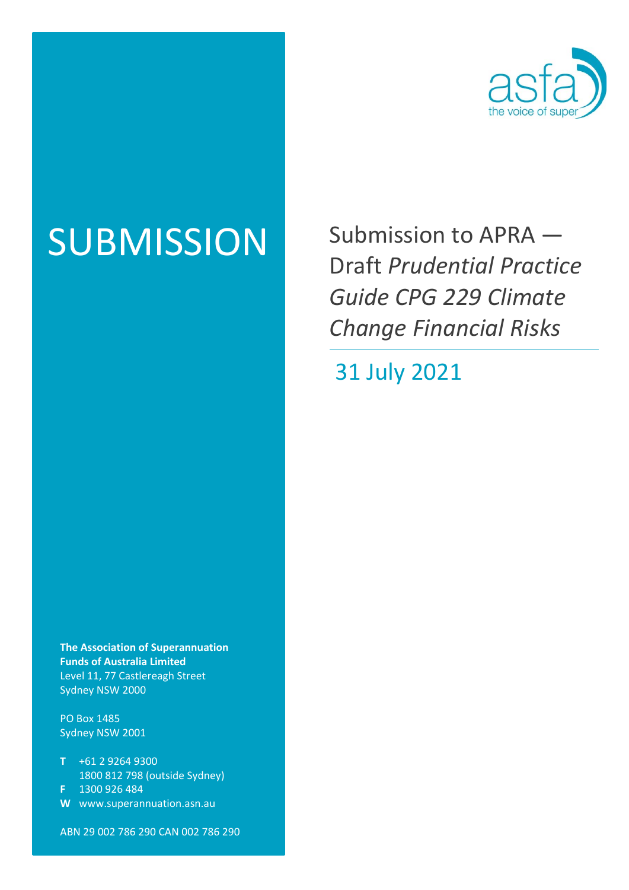

SUBMISSION Submission to APRA — Draft *Prudential Practice Guide CPG 229 Climate Change Financial Risks* 

31 July 2021

**The Association of Superannuation Funds of Australia Limited**  Level 11, 77 Castlereagh Street Sydney NSW 2000

PO Box 1485 Sydney NSW 2001

- **T** +61 2 9264 9300 1800 812 798 (outside Sydney)
- **F** 1300 926 484
- **W** www.superannuation.asn.au

ABN 29 002 786 290 CAN 002 786 290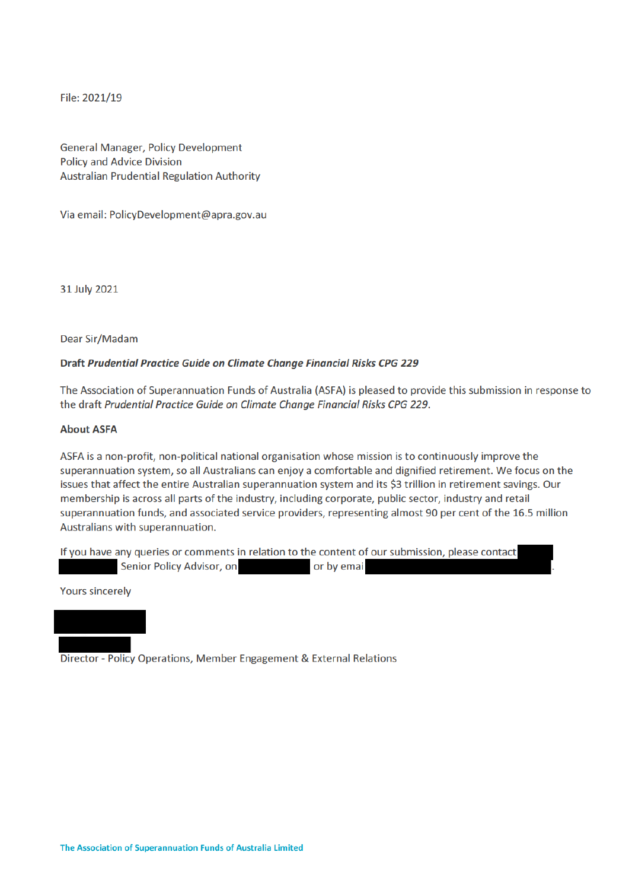File: 2021/19

**General Manager, Policy Development Policy and Advice Division Australian Prudential Regulation Authority** 

Via email: PolicyDevelopment@apra.gov.au

31 July 2021

Dear Sir/Madam

#### Draft Prudential Practice Guide on Climate Change Financial Risks CPG 229

The Association of Superannuation Funds of Australia (ASFA) is pleased to provide this submission in response to the draft Prudential Practice Guide on Climate Change Financial Risks CPG 229.

### **About ASFA**

ASFA is a non-profit, non-political national organisation whose mission is to continuously improve the superannuation system, so all Australians can enjoy a comfortable and dignified retirement. We focus on the issues that affect the entire Australian superannuation system and its \$3 trillion in retirement savings. Our membership is across all parts of the industry, including corporate, public sector, industry and retail superannuation funds, and associated service providers, representing almost 90 per cent of the 16.5 million Australians with superannuation.

If you have any queries or comments in relation to the content of our submission, please contact Senior Policy Advisor, on or by emai

**Yours sincerely** 

Director - Policy Operations, Member Engagement & External Relations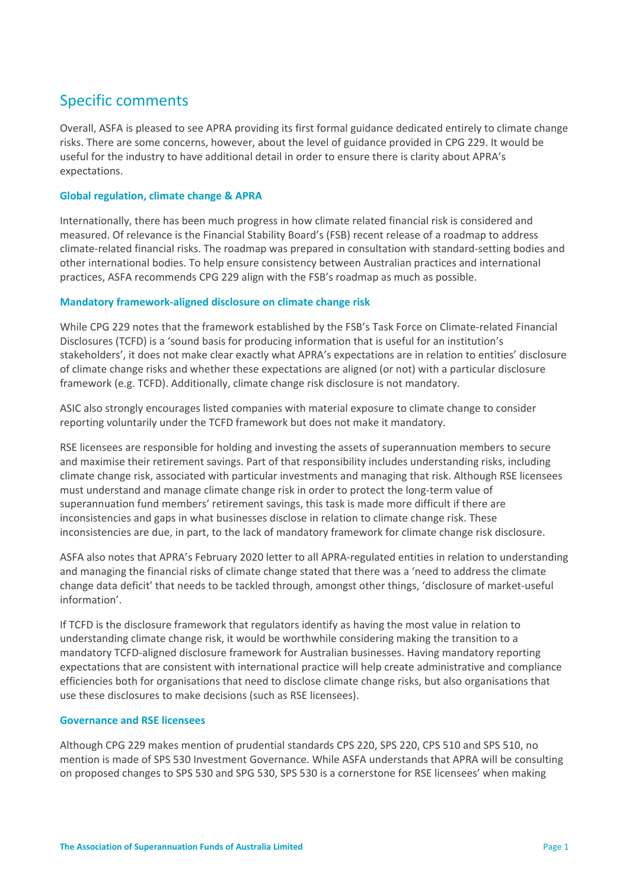# Specific comments

Overall, ASFA is pleased to see APRA providing its first formal guidance dedicated entirely to climate change risks. There are some concerns, however, about the level of guidance provided in CPG 229. It would be useful for the industry to have additional detail in order to ensure there is clarity about APRA's expectations.

# **Global regulation, climate change & APRA**

Internationally, there has been much progress in how climate related financial risk is considered and measured. Of relevance is the Financial Stability Board's (FSB) recent release of a roadmap to address climate‐related financial risks. The roadmap was prepared in consultation with standard‐setting bodies and other international bodies. To help ensure consistency between Australian practices and international practices, ASFA recommends CPG 229 align with the FSB's roadmap as much as possible.

# **Mandatory framework‐aligned disclosure on climate change risk**

While CPG 229 notes that the framework established by the FSB's Task Force on Climate‐related Financial Disclosures (TCFD) is a 'sound basis for producing information that is useful for an institution's stakeholders', it does not make clear exactly what APRA's expectations are in relation to entities' disclosure of climate change risks and whether these expectations are aligned (or not) with a particular disclosure framework (e.g. TCFD). Additionally, climate change risk disclosure is not mandatory.

ASIC also strongly encourages listed companies with material exposure to climate change to consider reporting voluntarily under the TCFD framework but does not make it mandatory.

RSE licensees are responsible for holding and investing the assets of superannuation members to secure and maximise their retirement savings. Part of that responsibility includes understanding risks, including climate change risk, associated with particular investments and managing that risk. Although RSE licensees must understand and manage climate change risk in order to protect the long‐term value of superannuation fund members' retirement savings, this task is made more difficult if there are inconsistencies and gaps in what businesses disclose in relation to climate change risk. These inconsistencies are due, in part, to the lack of mandatory framework for climate change risk disclosure.

ASFA also notes that APRA's February 2020 letter to all APRA‐regulated entities in relation to understanding and managing the financial risks of climate change stated that there was a 'need to address the climate change data deficit' that needs to be tackled through, amongst other things, 'disclosure of market-useful information'.

If TCFD is the disclosure framework that regulators identify as having the most value in relation to understanding climate change risk, it would be worthwhile considering making the transition to a mandatory TCFD‐aligned disclosure framework for Australian businesses. Having mandatory reporting expectations that are consistent with international practice will help create administrative and compliance efficiencies both for organisations that need to disclose climate change risks, but also organisations that use these disclosures to make decisions (such as RSE licensees).

# **Governance and RSE licensees**

Although CPG 229 makes mention of prudential standards CPS 220, SPS 220, CPS 510 and SPS 510, no mention is made of SPS 530 Investment Governance. While ASFA understands that APRA will be consulting on proposed changes to SPS 530 and SPG 530, SPS 530 is a cornerstone for RSE licensees' when making